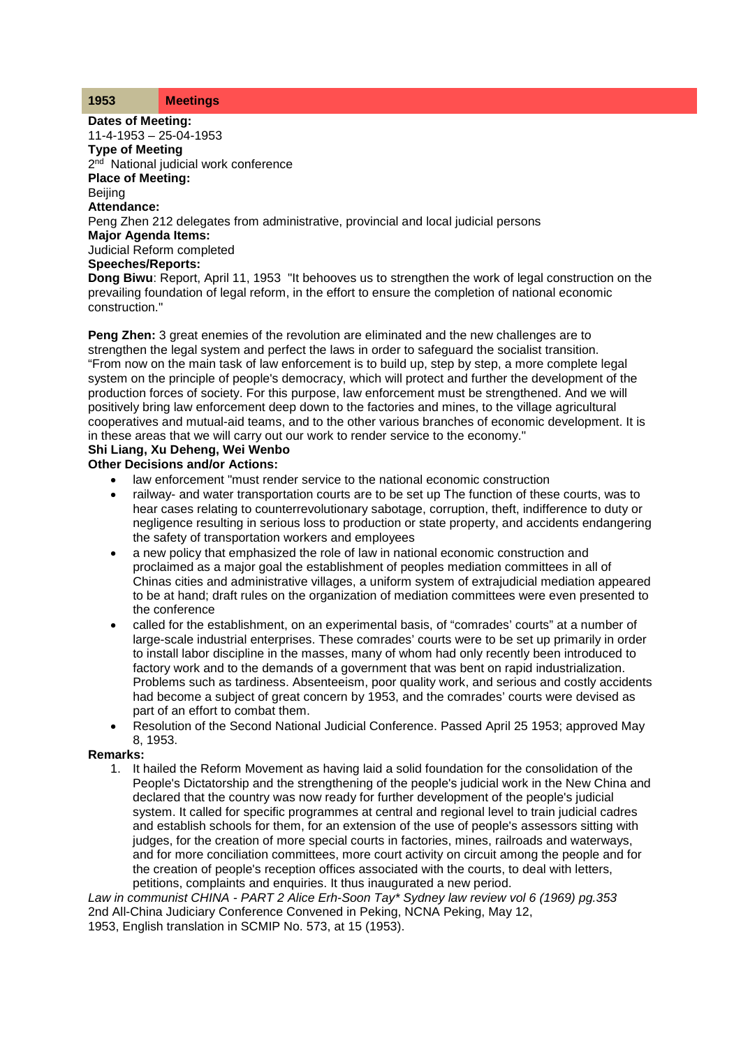## **1953 Meetings**

**Dates of Meeting:** 11-4-1953 – 25-04-1953

**Type of Meeting** 2<sup>nd</sup> National judicial work conference

**Place of Meeting:**

**Beijing** 

**Attendance:**

Peng Zhen 212 delegates from administrative, provincial and local judicial persons

**Major Agenda Items:**

Judicial Reform completed

**Speeches/Reports:**

**Dong Biwu**: Report, April 11, 1953 "It behooves us to strengthen the work of legal construction on the prevailing foundation of legal reform, in the effort to ensure the completion of national economic construction."

**Peng Zhen:** 3 great enemies of the revolution are eliminated and the new challenges are to strengthen the legal system and perfect the laws in order to safeguard the socialist transition. "From now on the main task of law enforcement is to build up, step by step, a more complete legal system on the principle of people's democracy, which will protect and further the development of the production forces of society. For this purpose, law enforcement must be strengthened. And we will positively bring law enforcement deep down to the factories and mines, to the village agricultural cooperatives and mutual-aid teams, and to the other various branches of economic development. It is in these areas that we will carry out our work to render service to the economy."

## **Shi Liang, Xu Deheng, Wei Wenbo**

## **Other Decisions and/or Actions:**

- law enforcement "must render service to the national economic construction
- railway- and water transportation courts are to be set up The function of these courts, was to hear cases relating to counterrevolutionary sabotage, corruption, theft, indifference to duty or negligence resulting in serious loss to production or state property, and accidents endangering the safety of transportation workers and employees
- a new policy that emphasized the role of law in national economic construction and proclaimed as a major goal the establishment of peoples mediation committees in all of Chinas cities and administrative villages, a uniform system of extrajudicial mediation appeared to be at hand; draft rules on the organization of mediation committees were even presented to the conference
- called for the establishment, on an experimental basis, of "comrades' courts" at a number of large-scale industrial enterprises. These comrades' courts were to be set up primarily in order to install labor discipline in the masses, many of whom had only recently been introduced to factory work and to the demands of a government that was bent on rapid industrialization. Problems such as tardiness. Absenteeism, poor quality work, and serious and costly accidents had become a subject of great concern by 1953, and the comrades' courts were devised as part of an effort to combat them.
- Resolution of the Second National Judicial Conference. Passed April 25 1953; approved May 8, 1953.

## **Remarks:**

1. It hailed the Reform Movement as having laid a solid foundation for the consolidation of the People's Dictatorship and the strengthening of the people's judicial work in the New China and declared that the country was now ready for further development of the people's judicial system. It called for specific programmes at central and regional level to train judicial cadres and establish schools for them, for an extension of the use of people's assessors sitting with judges, for the creation of more special courts in factories, mines, railroads and waterways, and for more conciliation committees, more court activity on circuit among the people and for the creation of people's reception offices associated with the courts, to deal with letters, petitions, complaints and enquiries. It thus inaugurated a new period.

*Law in communist CHINA - PART 2 Alice Erh-Soon Tay\* Sydney law review vol 6 (1969) pg.353* 2nd All-China Judiciary Conference Convened in Peking, NCNA Peking, May 12, 1953, English translation in SCMIP No. 573, at 15 (1953).